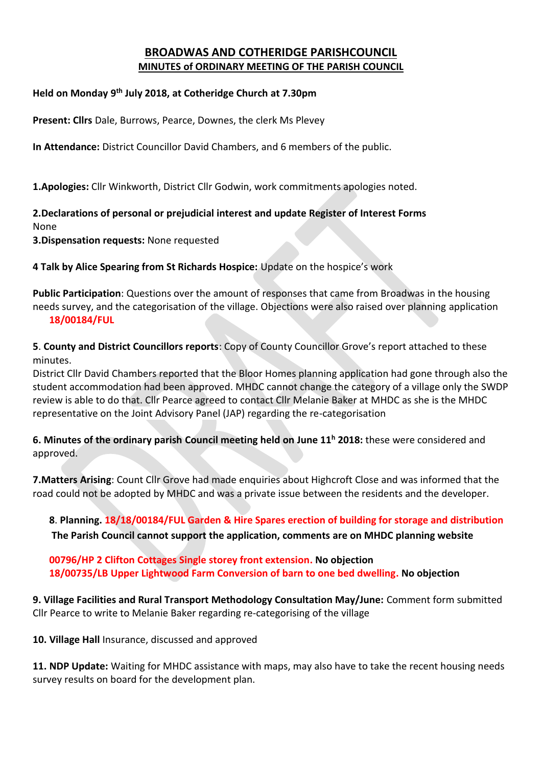## **BROADWAS AND COTHERIDGE PARISHCOUNCIL MINUTES of ORDINARY MEETING OF THE PARISH COUNCIL**

## **Held on Monday 9 th July 2018, at Cotheridge Church at 7.30pm**

**Present: Cllrs** Dale, Burrows, Pearce, Downes, the clerk Ms Plevey

**In Attendance:** District Councillor David Chambers, and 6 members of the public.

**1.Apologies:** Cllr Winkworth, District Cllr Godwin, work commitments apologies noted.

**2.Declarations of personal or prejudicial interest and update Register of Interest Forms** None

**3.Dispensation requests:** None requested

**4 Talk by Alice Spearing from St Richards Hospice:** Update on the hospice's work

**Public Participation**: Questions over the amount of responses that came from Broadwas in the housing needs survey, and the categorisation of the village. Objections were also raised over planning application **18/00184/FUL** 

**5**. **County and District Councillors reports**: Copy of County Councillor Grove's report attached to these minutes.

District Cllr David Chambers reported that the Bloor Homes planning application had gone through also the student accommodation had been approved. MHDC cannot change the category of a village only the SWDP review is able to do that. Cllr Pearce agreed to contact Cllr Melanie Baker at MHDC as she is the MHDC representative on the Joint Advisory Panel (JAP) regarding the re-categorisation

**6. Minutes of the ordinary parish Council meeting held on June 11<sup>h</sup> 2018:** these were considered and approved.

**7.Matters Arising**: Count Cllr Grove had made enquiries about Highcroft Close and was informed that the road could not be adopted by MHDC and was a private issue between the residents and the developer.

**8**. **Planning. 18/18/00184/FUL Garden & Hire Spares erection of building for storage and distribution The Parish Council cannot support the application, comments are on MHDC planning website**

**00796/HP 2 Clifton Cottages Single storey front extension. No objection 18/00735/LB Upper Lightwood Farm Conversion of barn to one bed dwelling. No objection**

**9. Village Facilities and Rural Transport Methodology Consultation May/June:** Comment form submitted Cllr Pearce to write to Melanie Baker regarding re-categorising of the village

**10. Village Hall** Insurance, discussed and approved

**11. NDP Update:** Waiting for MHDC assistance with maps, may also have to take the recent housing needs survey results on board for the development plan.